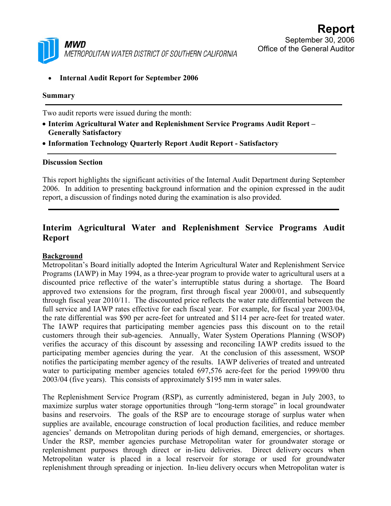

• **Internal Audit Report for September 2006** 

#### **Summary**

Two audit reports were issued during the month:

- **Interim Agricultural Water and Replenishment Service Programs Audit Report Generally Satisfactory**
- **Information Technology Quarterly Report Audit Report Satisfactory**

#### **Discussion Section**

This report highlights the significant activities of the Internal Audit Department during September 2006. In addition to presenting background information and the opinion expressed in the audit report, a discussion of findings noted during the examination is also provided.

# **Interim Agricultural Water and Replenishment Service Programs Audit Report**

#### **Background**

Metropolitan's Board initially adopted the Interim Agricultural Water and Replenishment Service Programs (IAWP) in May 1994, as a three-year program to provide water to agricultural users at a discounted price reflective of the water's interruptible status during a shortage. The Board approved two extensions for the program, first through fiscal year 2000/01, and subsequently through fiscal year 2010/11. The discounted price reflects the water rate differential between the full service and IAWP rates effective for each fiscal year. For example, for fiscal year 2003/04, the rate differential was \$90 per acre-feet for untreated and \$114 per acre-feet for treated water. The IAWP requires that participating member agencies pass this discount on to the retail customers through their sub-agencies. Annually, Water System Operations Planning (WSOP) verifies the accuracy of this discount by assessing and reconciling IAWP credits issued to the participating member agencies during the year. At the conclusion of this assessment, WSOP notifies the participating member agency of the results. IAWP deliveries of treated and untreated water to participating member agencies totaled 697,576 acre-feet for the period 1999/00 thru 2003/04 (five years). This consists of approximately \$195 mm in water sales.

The Replenishment Service Program (RSP), as currently administered, began in July 2003, to maximize surplus water storage opportunities through "long-term storage" in local groundwater basins and reservoirs. The goals of the RSP are to encourage storage of surplus water when supplies are available, encourage construction of local production facilities, and reduce member agencies' demands on Metropolitan during periods of high demand, emergencies, or shortages. Under the RSP, member agencies purchase Metropolitan water for groundwater storage or replenishment purposes through direct or in-lieu deliveries. Direct delivery occurs when Metropolitan water is placed in a local reservoir for storage or used for groundwater replenishment through spreading or injection. In-lieu delivery occurs when Metropolitan water is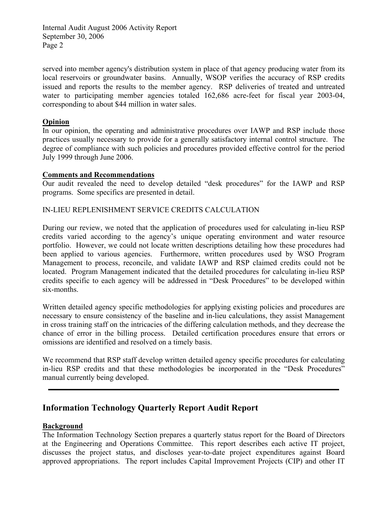Internal Audit August 2006 Activity Report September 30, 2006 Page 2

served into member agency's distribution system in place of that agency producing water from its local reservoirs or groundwater basins. Annually, WSOP verifies the accuracy of RSP credits issued and reports the results to the member agency. RSP deliveries of treated and untreated water to participating member agencies totaled 162,686 acre-feet for fiscal year 2003-04, corresponding to about \$44 million in water sales.

#### **Opinion**

In our opinion, the operating and administrative procedures over IAWP and RSP include those practices usually necessary to provide for a generally satisfactory internal control structure. The degree of compliance with such policies and procedures provided effective control for the period July 1999 through June 2006.

#### **Comments and Recommendations**

Our audit revealed the need to develop detailed "desk procedures" for the IAWP and RSP programs. Some specifics are presented in detail.

#### IN-LIEU REPLENISHMENT SERVICE CREDITS CALCULATION

During our review, we noted that the application of procedures used for calculating in-lieu RSP credits varied according to the agency's unique operating environment and water resource portfolio. However, we could not locate written descriptions detailing how these procedures had been applied to various agencies. Furthermore, written procedures used by WSO Program Management to process, reconcile, and validate IAWP and RSP claimed credits could not be located. Program Management indicated that the detailed procedures for calculating in-lieu RSP credits specific to each agency will be addressed in "Desk Procedures" to be developed within six-months.

Written detailed agency specific methodologies for applying existing policies and procedures are necessary to ensure consistency of the baseline and in-lieu calculations, they assist Management in cross training staff on the intricacies of the differing calculation methods, and they decrease the chance of error in the billing process. Detailed certification procedures ensure that errors or omissions are identified and resolved on a timely basis.

We recommend that RSP staff develop written detailed agency specific procedures for calculating in-lieu RSP credits and that these methodologies be incorporated in the "Desk Procedures" manual currently being developed.

## **Information Technology Quarterly Report Audit Report**

#### **Background**

The Information Technology Section prepares a quarterly status report for the Board of Directors at the Engineering and Operations Committee. This report describes each active IT project, discusses the project status, and discloses year-to-date project expenditures against Board approved appropriations. The report includes Capital Improvement Projects (CIP) and other IT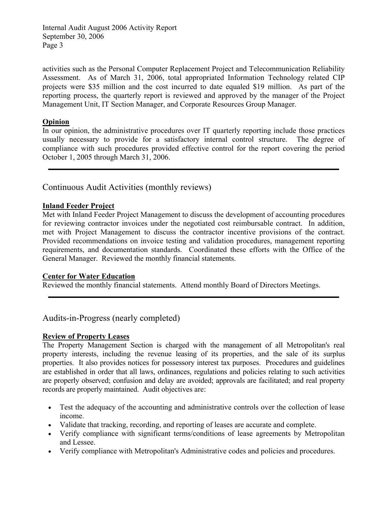Internal Audit August 2006 Activity Report September 30, 2006 Page 3

activities such as the Personal Computer Replacement Project and Telecommunication Reliability Assessment. As of March 31, 2006, total appropriated Information Technology related CIP projects were \$35 million and the cost incurred to date equaled \$19 million. As part of the reporting process, the quarterly report is reviewed and approved by the manager of the Project Management Unit, IT Section Manager, and Corporate Resources Group Manager.

### **Opinion**

In our opinion, the administrative procedures over IT quarterly reporting include those practices usually necessary to provide for a satisfactory internal control structure. The degree of compliance with such procedures provided effective control for the report covering the period October 1, 2005 through March 31, 2006.

## Continuous Audit Activities (monthly reviews)

### **Inland Feeder Project**

Met with Inland Feeder Project Management to discuss the development of accounting procedures for reviewing contractor invoices under the negotiated cost reimbursable contract. In addition, met with Project Management to discuss the contractor incentive provisions of the contract. Provided recommendations on invoice testing and validation procedures, management reporting requirements, and documentation standards. Coordinated these efforts with the Office of the General Manager. Reviewed the monthly financial statements.

#### **Center for Water Education**

Reviewed the monthly financial statements. Attend monthly Board of Directors Meetings.

Audits-in-Progress (nearly completed)

#### **Review of Property Leases**

The Property Management Section is charged with the management of all Metropolitan's real property interests, including the revenue leasing of its properties, and the sale of its surplus properties. It also provides notices for possessory interest tax purposes. Procedures and guidelines are established in order that all laws, ordinances, regulations and policies relating to such activities are properly observed; confusion and delay are avoided; approvals are facilitated; and real property records are properly maintained. Audit objectives are:

- Test the adequacy of the accounting and administrative controls over the collection of lease income.
- Validate that tracking, recording, and reporting of leases are accurate and complete.
- Verify compliance with significant terms/conditions of lease agreements by Metropolitan and Lessee.
- Verify compliance with Metropolitan's Administrative codes and policies and procedures.